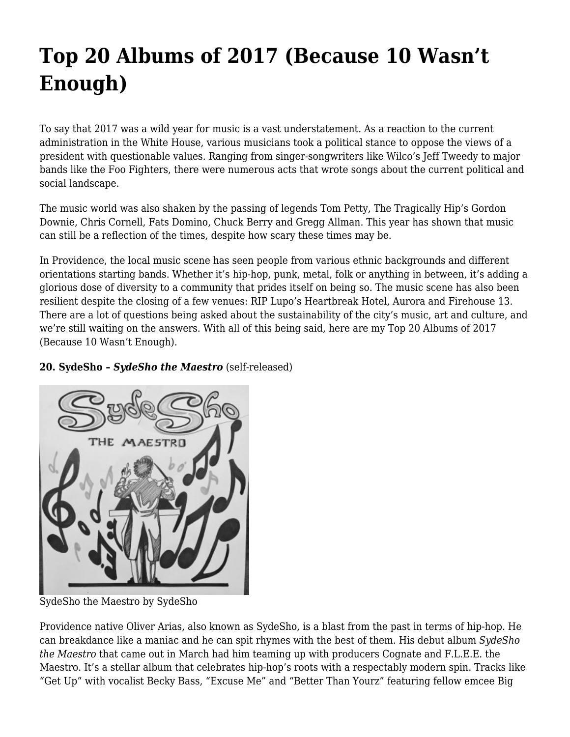# **[Top 20 Albums of 2017 \(Because 10 Wasn't](https://motifri.com/albums-2017-top20/) [Enough\)](https://motifri.com/albums-2017-top20/)**

To say that 2017 was a wild year for music is a vast understatement. As a reaction to the current administration in the White House, various musicians took a political stance to oppose the views of a president with questionable values. Ranging from singer-songwriters like Wilco's Jeff Tweedy to major bands like the Foo Fighters, there were numerous acts that wrote songs about the current political and social landscape.

The music world was also shaken by the passing of legends Tom Petty, The Tragically Hip's Gordon Downie, Chris Cornell, Fats Domino, Chuck Berry and Gregg Allman. This year has shown that music can still be a reflection of the times, despite how scary these times may be.

In Providence, the local music scene has seen people from various ethnic backgrounds and different orientations starting bands. Whether it's hip-hop, punk, metal, folk or anything in between, it's adding a glorious dose of diversity to a community that prides itself on being so. The music scene has also been resilient despite the closing of a few venues: RIP Lupo's Heartbreak Hotel, Aurora and Firehouse 13. There are a lot of questions being asked about the sustainability of the city's music, art and culture, and we're still waiting on the answers. With all of this being said, here are my Top 20 Albums of 2017 (Because 10 Wasn't Enough).

### **20. SydeSho –** *SydeSho the Maestro* (self-released)



SydeSho the Maestro by SydeSho

Providence native Oliver Arias, also known as SydeSho, is a blast from the past in terms of hip-hop. He can breakdance like a maniac and he can spit rhymes with the best of them. His debut album *SydeSho the Maestro* that came out in March had him teaming up with producers Cognate and F.L.E.E. the Maestro. It's a stellar album that celebrates hip-hop's roots with a respectably modern spin. Tracks like "Get Up" with vocalist Becky Bass, "Excuse Me" and "Better Than Yourz" featuring fellow emcee Big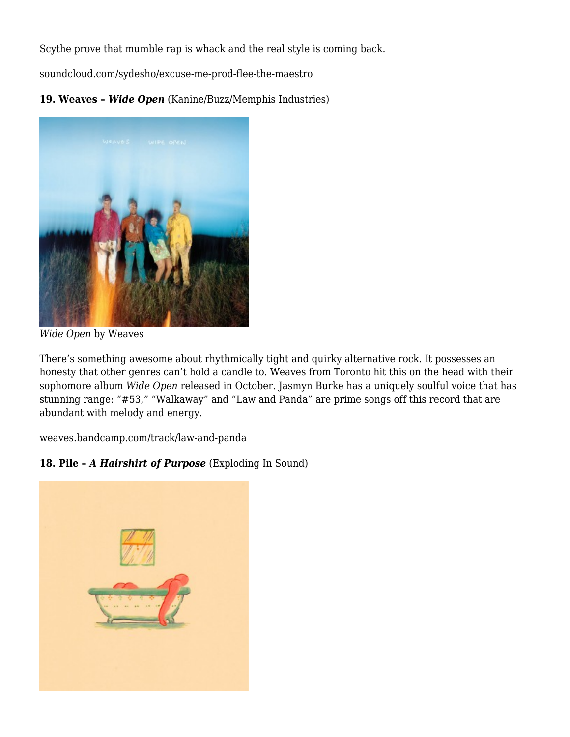Scythe prove that mumble rap is whack and the real style is coming back.

[soundcloud.com/sydesho/excuse-me-prod-flee-the-maestro](https://soundcloud.com/sydesho/excuse-me-prod-flee-the-maestro?in=sydesho/sets/sydesho-the-maestro)

**19. Weaves –** *Wide Open* (Kanine/Buzz/Memphis Industries)



*Wide Open* by Weaves

There's something awesome about rhythmically tight and quirky alternative rock. It possesses an honesty that other genres can't hold a candle to. Weaves from Toronto hit this on the head with their sophomore album *Wide Open* released in October. Jasmyn Burke has a uniquely soulful voice that has stunning range: "#53," "Walkaway" and "Law and Panda" are prime songs off this record that are abundant with melody and energy.

[weaves.bandcamp.com/track/law-and-panda](https://weaves.bandcamp.com/track/law-and-panda)

## **18. Pile –** *A Hairshirt of Purpose* (Exploding In Sound)

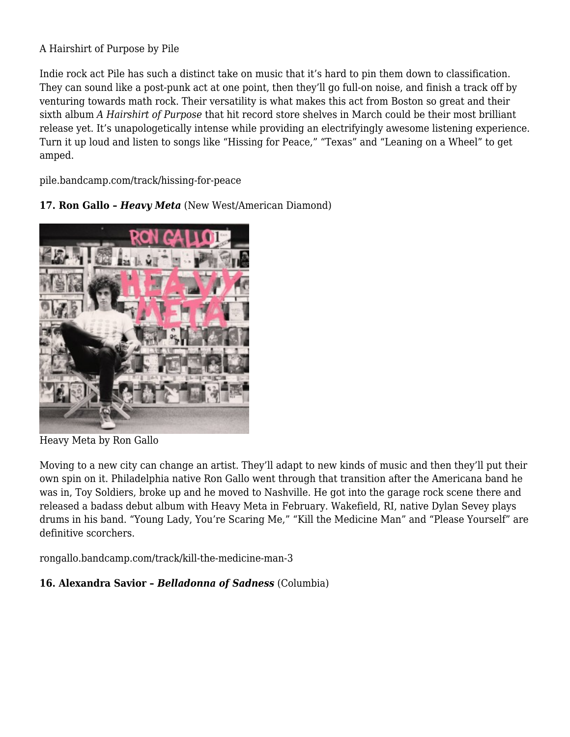### A Hairshirt of Purpose by Pile

Indie rock act Pile has such a distinct take on music that it's hard to pin them down to classification. They can sound like a post-punk act at one point, then they'll go full-on noise, and finish a track off by venturing towards math rock. Their versatility is what makes this act from Boston so great and their sixth album *A Hairshirt of Purpose* that hit record store shelves in March could be their most brilliant release yet. It's unapologetically intense while providing an electrifyingly awesome listening experience. Turn it up loud and listen to songs like "Hissing for Peace," "Texas" and "Leaning on a Wheel" to get amped.

[pile.bandcamp.com/track/hissing-for-peace](https://pile.bandcamp.com/track/hissing-for-peace)

**17. Ron Gallo –** *Heavy Meta* (New West/American Diamond)



Heavy Meta by Ron Gallo

Moving to a new city can change an artist. They'll adapt to new kinds of music and then they'll put their own spin on it. Philadelphia native Ron Gallo went through that transition after the Americana band he was in, Toy Soldiers, broke up and he moved to Nashville. He got into the garage rock scene there and released a badass debut album with Heavy Meta in February. Wakefield, RI, native Dylan Sevey plays drums in his band. "Young Lady, You're Scaring Me," "Kill the Medicine Man" and "Please Yourself" are definitive scorchers.

[rongallo.bandcamp.com/track/kill-the-medicine-man-3](https://rongallo.bandcamp.com/track/kill-the-medicine-man-3)

## **16. Alexandra Savior –** *Belladonna of Sadness* (Columbia)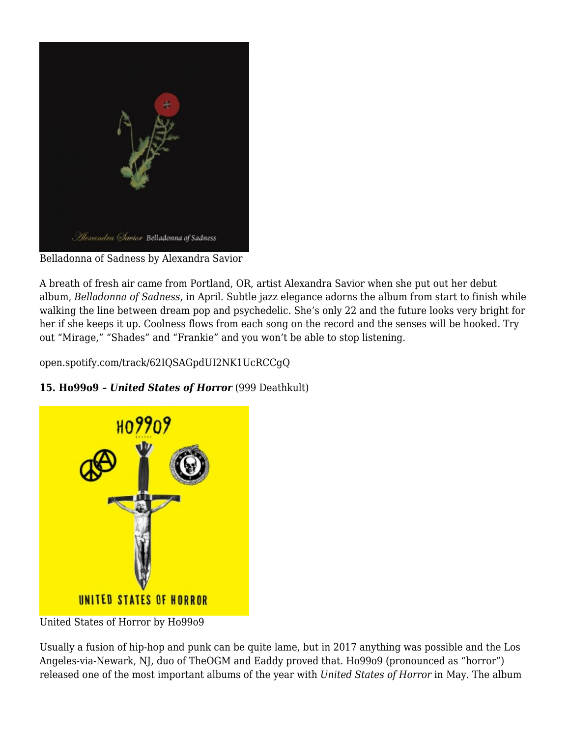

Belladonna of Sadness by Alexandra Savior

A breath of fresh air came from Portland, OR, artist Alexandra Savior when she put out her debut album, *Belladonna of Sadness*, in April. Subtle jazz elegance adorns the album from start to finish while walking the line between dream pop and psychedelic. She's only 22 and the future looks very bright for her if she keeps it up. Coolness flows from each song on the record and the senses will be hooked. Try out "Mirage," "Shades" and "Frankie" and you won't be able to stop listening.

[open.spotify.com/track/62IQSAGpdUI2NK1UcRCCgQ](https://open.spotify.com/track/62IQSAGpdUI2NK1UcRCCgQ)

## **15. Ho99o9 –** *United States of Horror* (999 Deathkult)



United States of Horror by Ho99o9

Usually a fusion of hip-hop and punk can be quite lame, but in 2017 anything was possible and the Los Angeles-via-Newark, NJ, duo of TheOGM and Eaddy proved that. Ho99o9 (pronounced as "horror") released one of the most important albums of the year with *United States of Horror* in May. The album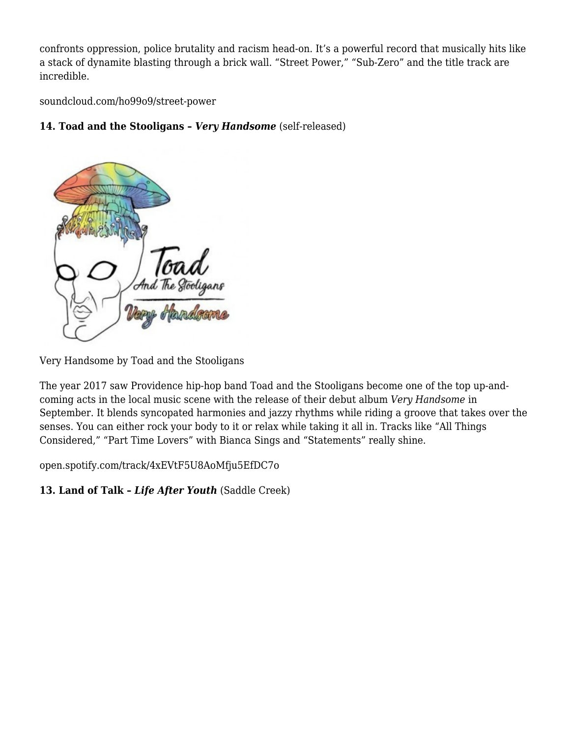confronts oppression, police brutality and racism head-on. It's a powerful record that musically hits like a stack of dynamite blasting through a brick wall. "Street Power," "Sub-Zero" and the title track are incredible.

[soundcloud.com/ho99o9/street-power](https://soundcloud.com/ho99o9/street-power)

### **14. Toad and the Stooligans –** *Very Handsome* (self-released)



Very Handsome by Toad and the Stooligans

The year 2017 saw Providence hip-hop band Toad and the Stooligans become one of the top up-andcoming acts in the local music scene with the release of their debut album *Very Handsome* in September. It blends syncopated harmonies and jazzy rhythms while riding a groove that takes over the senses. You can either rock your body to it or relax while taking it all in. Tracks like "All Things Considered," "Part Time Lovers" with Bianca Sings and "Statements" really shine.

[open.spotify.com/track/4xEVtF5U8AoMfju5EfDC7o](https://open.spotify.com/track/4xEVtF5U8AoMfju5EfDC7o)

**13. Land of Talk –** *Life After Youth* (Saddle Creek)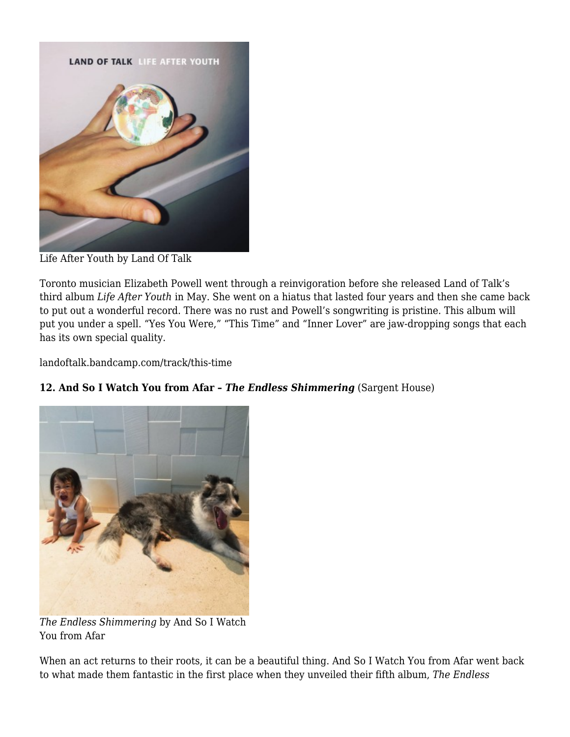

Life After Youth by Land Of Talk

Toronto musician Elizabeth Powell went through a reinvigoration before she released Land of Talk's third album *Life After Youth* in May. She went on a hiatus that lasted four years and then she came back to put out a wonderful record. There was no rust and Powell's songwriting is pristine. This album will put you under a spell. "Yes You Were," "This Time" and "Inner Lover" are jaw-dropping songs that each has its own special quality.

[landoftalk.bandcamp.com/track/this-time](https://landoftalk.bandcamp.com/track/this-time)



**12. And So I Watch You from Afar –** *The Endless Shimmering* (Sargent House)

*The Endless Shimmering* by And So I Watch You from Afar

When an act returns to their roots, it can be a beautiful thing. And So I Watch You from Afar went back to what made them fantastic in the first place when they unveiled their fifth album, *The Endless*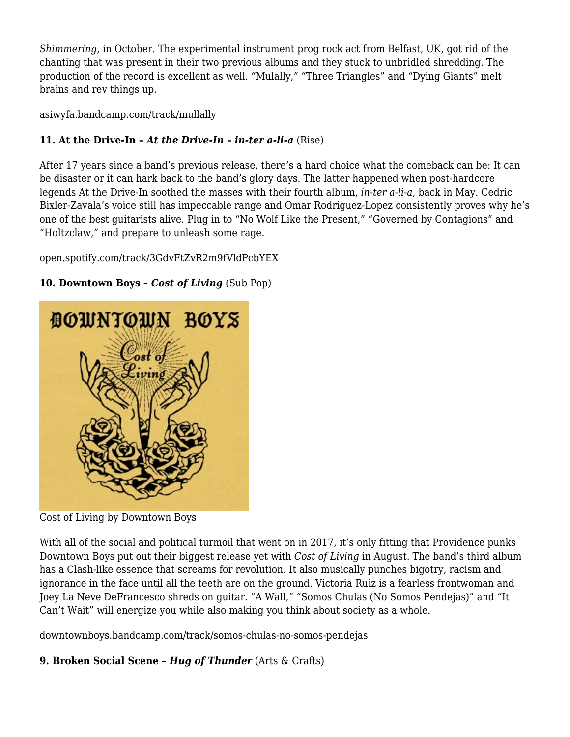*Shimmering*, in October. The experimental instrument prog rock act from Belfast, UK, got rid of the chanting that was present in their two previous albums and they stuck to unbridled shredding. The production of the record is excellent as well. "Mulally," "Three Triangles" and "Dying Giants" melt brains and rev things up.

[asiwyfa.bandcamp.com/track/mullally](https://asiwyfa.bandcamp.com/track/mullally)

## **11. At the Drive-In –** *At the Drive-In – in-ter a-li-a* (Rise)

After 17 years since a band's previous release, there's a hard choice what the comeback can be: It can be disaster or it can hark back to the band's glory days. The latter happened when post-hardcore legends At the Drive-In soothed the masses with their fourth album, *in-ter a-li-a*, back in May. Cedric Bixler-Zavala's voice still has impeccable range and Omar Rodriguez-Lopez consistently proves why he's one of the best guitarists alive. Plug in to "No Wolf Like the Present," "Governed by Contagions" and "Holtzclaw," and prepare to unleash some rage.

[open.spotify.com/track/3GdvFtZvR2m9fVldPcbYEX](https://open.spotify.com/track/3GdvFtZvR2m9fVldPcbYEX)



#### **10. Downtown Boys –** *Cost of Living* (Sub Pop)

Cost of Living by Downtown Boys

With all of the social and political turmoil that went on in 2017, it's only fitting that Providence punks Downtown Boys put out their biggest release yet with *Cost of Living* in August. The band's third album has a Clash-like essence that screams for revolution. It also musically punches bigotry, racism and ignorance in the face until all the teeth are on the ground. Victoria Ruiz is a fearless frontwoman and Joey La Neve DeFrancesco shreds on guitar. "A Wall," "Somos Chulas (No Somos Pendejas)" and "It Can't Wait" will energize you while also making you think about society as a whole.

[downtownboys.bandcamp.com/track/somos-chulas-no-somos-pendejas](https://downtownboys.bandcamp.com/track/somos-chulas-no-somos-pendejas)

#### **9. Broken Social Scene –** *Hug of Thunder* (Arts & Crafts)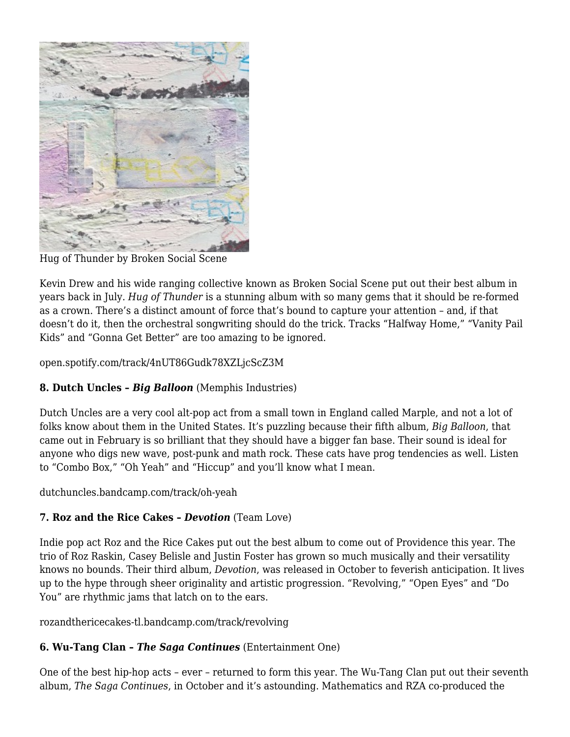

Hug of Thunder by Broken Social Scene

Kevin Drew and his wide ranging collective known as Broken Social Scene put out their best album in years back in July. *Hug of Thunder* is a stunning album with so many gems that it should be re-formed as a crown. There's a distinct amount of force that's bound to capture your attention – and, if that doesn't do it, then the orchestral songwriting should do the trick. Tracks "Halfway Home," "Vanity Pail Kids" and "Gonna Get Better" are too amazing to be ignored.

[open.spotify.com/track/4nUT86Gudk78XZLjcScZ3M](https://open.spotify.com/track/4nUT86Gudk78XZLjcScZ3M)

#### **8. Dutch Uncles –** *Big Balloon* (Memphis Industries)

Dutch Uncles are a very cool alt-pop act from a small town in England called Marple, and not a lot of folks know about them in the United States. It's puzzling because their fifth album, *Big Balloon*, that came out in February is so brilliant that they should have a bigger fan base. Their sound is ideal for anyone who digs new wave, post-punk and math rock. These cats have prog tendencies as well. Listen to "Combo Box," "Oh Yeah" and "Hiccup" and you'll know what I mean.

[dutchuncles.bandcamp.com/track/oh-yeah](https://dutchuncles.bandcamp.com/track/oh-yeah)

#### **7. Roz and the Rice Cakes –** *Devotion* (Team Love)

Indie pop act Roz and the Rice Cakes put out the best album to come out of Providence this year. The trio of Roz Raskin, Casey Belisle and Justin Foster has grown so much musically and their versatility knows no bounds. Their third album, *Devotion*, was released in October to feverish anticipation. It lives up to the hype through sheer originality and artistic progression. "Revolving," "Open Eyes" and "Do You" are rhythmic jams that latch on to the ears.

[rozandthericecakes-tl.bandcamp.com/track/revolving](https://rozandthericecakes-tl.bandcamp.com/track/revolving)

#### **6. Wu-Tang Clan –** *The Saga Continues* (Entertainment One)

One of the best hip-hop acts – ever – returned to form this year. The Wu-Tang Clan put out their seventh album, *The Saga Continues*, in October and it's astounding. Mathematics and RZA co-produced the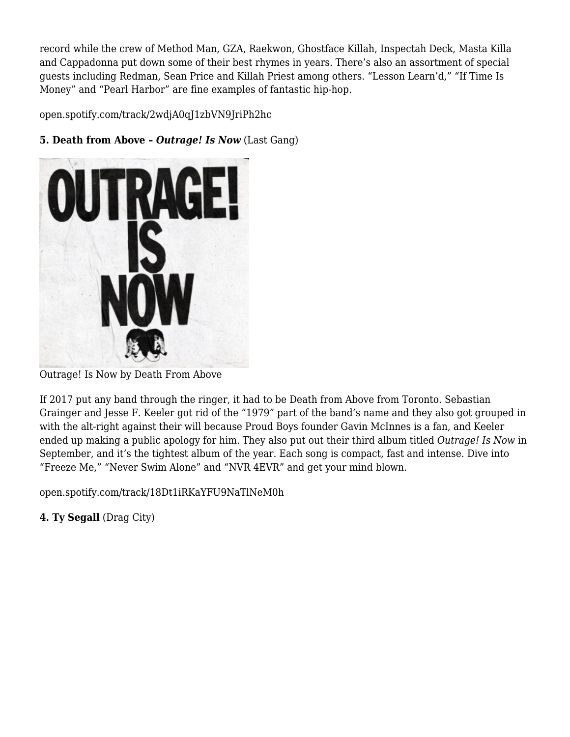record while the crew of Method Man, GZA, Raekwon, Ghostface Killah, Inspectah Deck, Masta Killa and Cappadonna put down some of their best rhymes in years. There's also an assortment of special guests including Redman, Sean Price and Killah Priest among others. "Lesson Learn'd," "If Time Is Money" and "Pearl Harbor" are fine examples of fantastic hip-hop.

[open.spotify.com/track/2wdjA0qJ1zbVN9JriPh2hc](https://open.spotify.com/track/2wdjA0qJ1zbVN9JriPh2hc)



### **5. Death from Above –** *Outrage! Is Now* (Last Gang)

Outrage! Is Now by Death From Above

If 2017 put any band through the ringer, it had to be Death from Above from Toronto. Sebastian Grainger and Jesse F. Keeler got rid of the "1979" part of the band's name and they also got grouped in with the alt-right against their will because Proud Boys founder Gavin McInnes is a fan, and Keeler ended up making a public apology for him. They also put out their third album titled *Outrage! Is Now* in September, and it's the tightest album of the year. Each song is compact, fast and intense. Dive into "Freeze Me," "Never Swim Alone" and "NVR 4EVR" and get your mind blown.

[open.spotify.com/track/18Dt1iRKaYFU9NaTlNeM0h](https://open.spotify.com/track/18Dt1iRKaYFU9NaTlNeM0h)

**4. Ty Segall** (Drag City)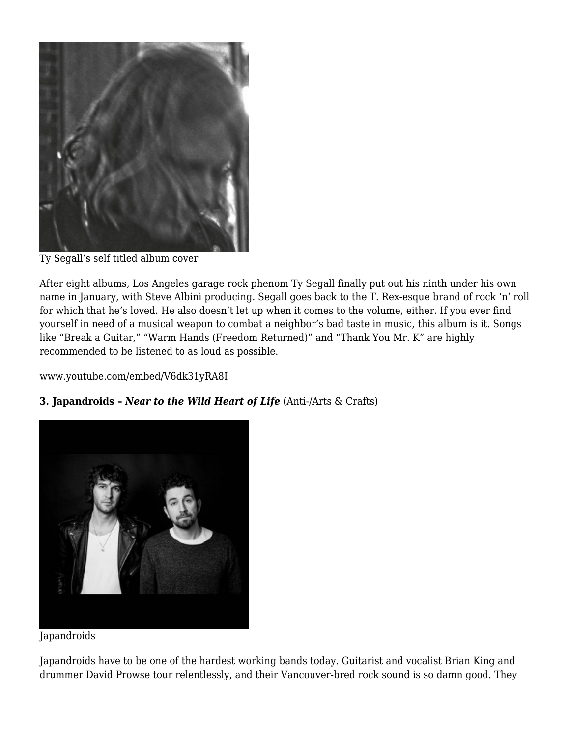

Ty Segall's self titled album cover

After eight albums, Los Angeles garage rock phenom Ty Segall finally put out his ninth under his own name in January, with Steve Albini producing. Segall goes back to the T. Rex-esque brand of rock 'n' roll for which that he's loved. He also doesn't let up when it comes to the volume, either. If you ever find yourself in need of a musical weapon to combat a neighbor's bad taste in music, this album is it. Songs like "Break a Guitar," "Warm Hands (Freedom Returned)" and "Thank You Mr. K" are highly recommended to be listened to as loud as possible.

[www.youtube.com/embed/V6dk31yRA8I](https://www.youtube.com/embed/V6dk31yRA8I)

#### **3. Japandroids –** *Near to the Wild Heart of Life* (Anti-/Arts & Crafts)



**Japandroids** 

Japandroids have to be one of the hardest working bands today. Guitarist and vocalist Brian King and drummer David Prowse tour relentlessly, and their Vancouver-bred rock sound is so damn good. They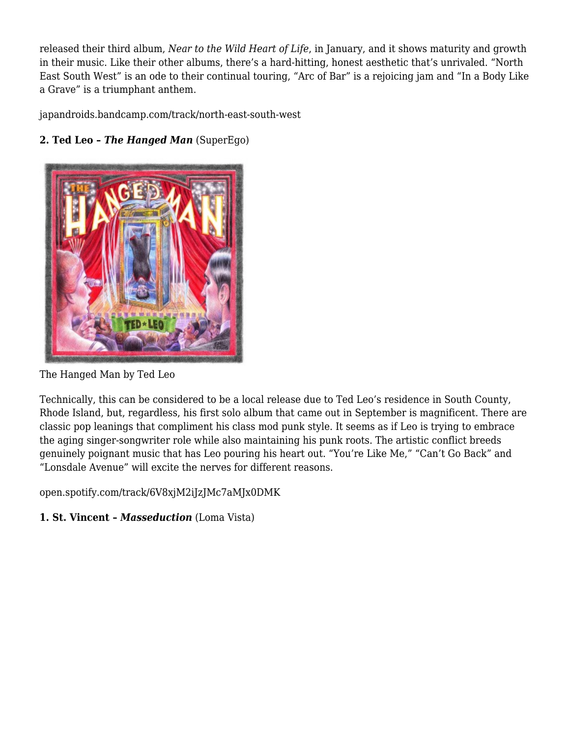released their third album, *Near to the Wild Heart of Life*, in January, and it shows maturity and growth in their music. Like their other albums, there's a hard-hitting, honest aesthetic that's unrivaled. "North East South West" is an ode to their continual touring, "Arc of Bar" is a rejoicing jam and "In a Body Like a Grave" is a triumphant anthem.

[japandroids.bandcamp.com/track/north-east-south-west](https://japandroids.bandcamp.com/track/north-east-south-west)



## **2. Ted Leo –** *The Hanged Man* (SuperEgo)

The Hanged Man by Ted Leo

Technically, this can be considered to be a local release due to Ted Leo's residence in South County, Rhode Island, but, regardless, his first solo album that came out in September is magnificent. There are classic pop leanings that compliment his class mod punk style. It seems as if Leo is trying to embrace the aging singer-songwriter role while also maintaining his punk roots. The artistic conflict breeds genuinely poignant music that has Leo pouring his heart out. "You're Like Me," "Can't Go Back" and "Lonsdale Avenue" will excite the nerves for different reasons.

[open.spotify.com/track/6V8xjM2iJzJMc7aMJx0DMK](https://open.spotify.com/track/6V8xjM2iJzJMc7aMJx0DMK)

## **1. St. Vincent –** *Masseduction* (Loma Vista)